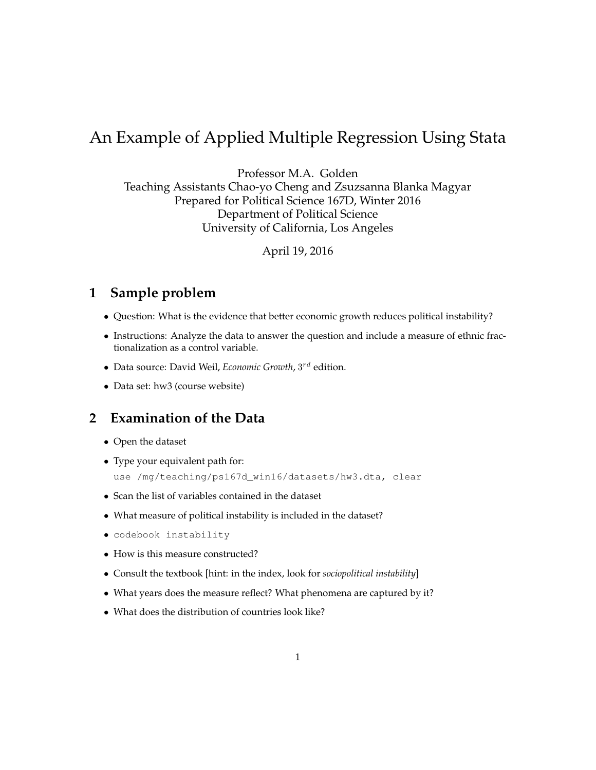# An Example of Applied Multiple Regression Using Stata

Professor M.A. Golden Teaching Assistants Chao-yo Cheng and Zsuzsanna Blanka Magyar Prepared for Political Science 167D, Winter 2016 Department of Political Science University of California, Los Angeles

April 19, 2016

### **1 Sample problem**

- Question: What is the evidence that better economic growth reduces political instability?
- Instructions: Analyze the data to answer the question and include a measure of ethnic fractionalization as a control variable.
- Data source: David Weil, *Economic Growth*, 3 rd edition.
- Data set: hw3 (course website)

### **2 Examination of the Data**

- Open the dataset
- Type your equivalent path for: use /mg/teaching/ps167d\_win16/datasets/hw3.dta, clear
- Scan the list of variables contained in the dataset
- What measure of political instability is included in the dataset?
- codebook instability
- How is this measure constructed?
- Consult the textbook [hint: in the index, look for *sociopolitical instability*]
- What years does the measure reflect? What phenomena are captured by it?
- What does the distribution of countries look like?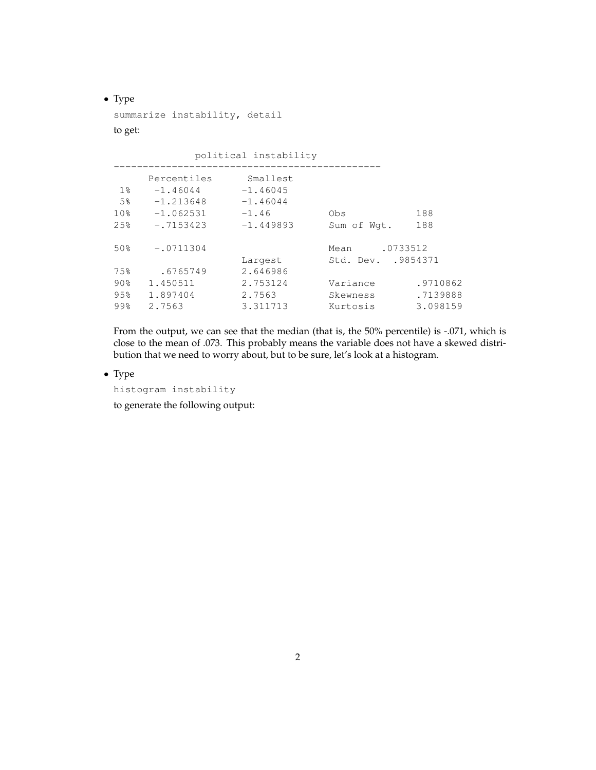• Type

summarize instability, detail

#### to get:

political instability

|                 | Percentiles | Smallest    |                     |          |
|-----------------|-------------|-------------|---------------------|----------|
| $1\%$           | $-1.46044$  | $-1.46045$  |                     |          |
| 5%              | $-1.213648$ | $-1.46044$  |                     |          |
| 10 <sub>8</sub> | $-1.062531$ | $-1.46$     | Obs                 | 188      |
| 2.5%            | $-.7153423$ | $-1.449893$ | Sum of Wgt.         | 188      |
| 50%             | $-.0711304$ |             | Mean                | .0733512 |
|                 |             | Largest     | Std. Dev. . 9854371 |          |
| 75%             | .6765749    | 2.646986    |                     |          |
| 90%             | 1.450511    | 2.753124    | Variance            | .9710862 |
| 95%             | 1.897404    | 2.7563      | Skewness            | .7139888 |
| 99%             | 2.7563      | 3.311713    | Kurtosis            | 3.098159 |
|                 |             |             |                     |          |

From the output, we can see that the median (that is, the 50% percentile) is -.071, which is close to the mean of .073. This probably means the variable does not have a skewed distribution that we need to worry about, but to be sure, let's look at a histogram.

• Type

histogram instability

to generate the following output: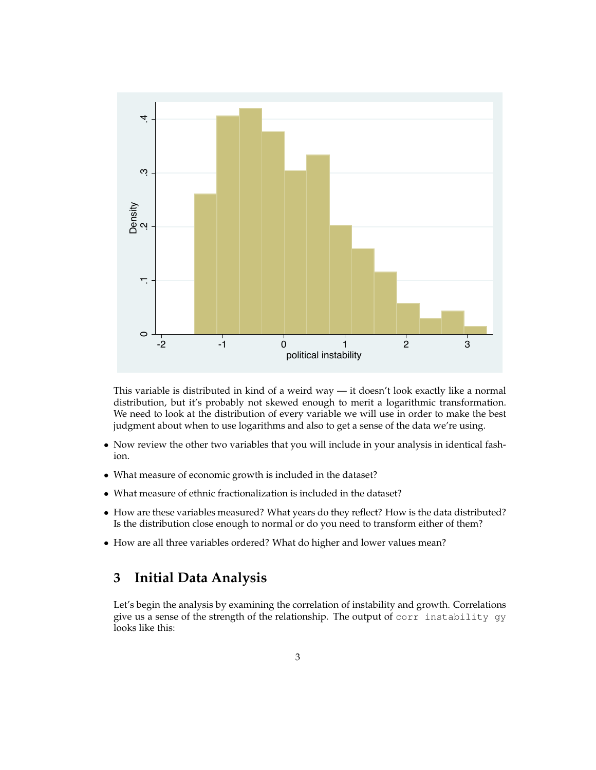

This variable is distributed in kind of a weird way — it doesn't look exactly like a normal distribution, but it's probably not skewed enough to merit a logarithmic transformation. We need to look at the distribution of every variable we will use in order to make the best judgment about when to use logarithms and also to get a sense of the data we're using.

- Now review the other two variables that you will include in your analysis in identical fashion.
- What measure of economic growth is included in the dataset?
- What measure of ethnic fractionalization is included in the dataset?
- How are these variables measured? What years do they reflect? How is the data distributed? Is the distribution close enough to normal or do you need to transform either of them?
- How are all three variables ordered? What do higher and lower values mean?

### **3 Initial Data Analysis**

Let's begin the analysis by examining the correlation of instability and growth. Correlations give us a sense of the strength of the relationship. The output of corr instability gy looks like this: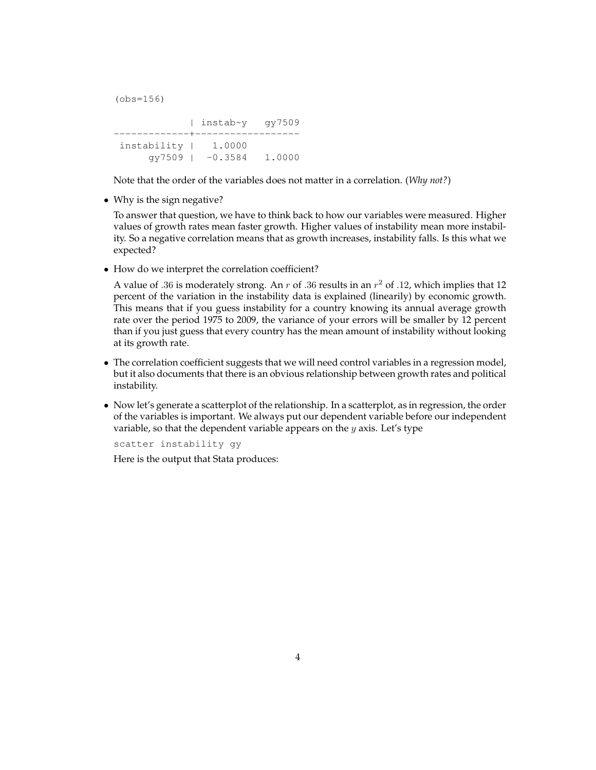(obs=156)

| instab~y gy7509 -------------+----------------- instability | 1.0000 gy7509 | -0.3584 1.0000

Note that the order of the variables does not matter in a correlation. (*Why not?*)

• Why is the sign negative?

To answer that question, we have to think back to how our variables were measured. Higher values of growth rates mean faster growth. Higher values of instability mean more instability. So a negative correlation means that as growth increases, instability falls. Is this what we expected?

• How do we interpret the correlation coefficient?

A value of .36 is moderately strong. An  $r$  of .36 results in an  $r^2$  of .12, which implies that 12 percent of the variation in the instability data is explained (linearily) by economic growth. This means that if you guess instability for a country knowing its annual average growth rate over the period 1975 to 2009, the variance of your errors will be smaller by 12 percent than if you just guess that every country has the mean amount of instability without looking at its growth rate.

- The correlation coefficient suggests that we will need control variables in a regression model, but it also documents that there is an obvious relationship between growth rates and political instability.
- Now let's generate a scatterplot of the relationship. In a scatterplot, as in regression, the order of the variables is important. We always put our dependent variable before our independent variable, so that the dependent variable appears on the  $y$  axis. Let's type

scatter instability gy

Here is the output that Stata produces: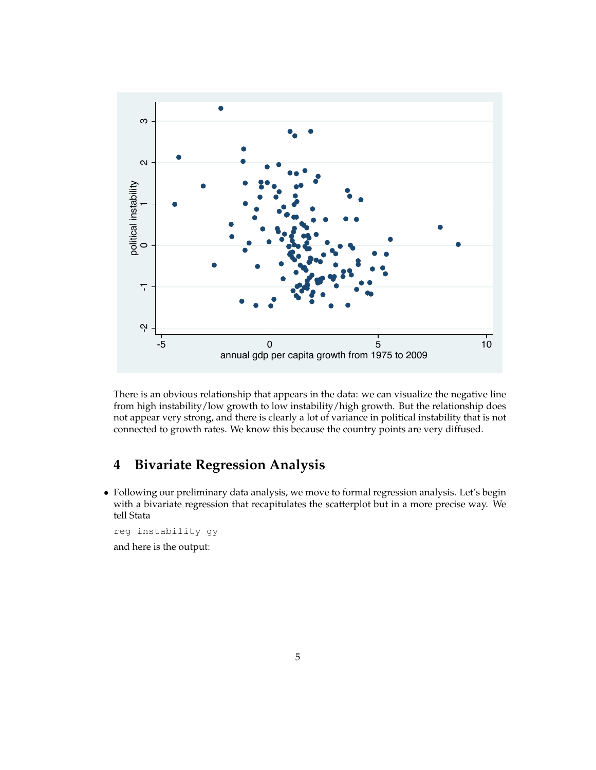

There is an obvious relationship that appears in the data: we can visualize the negative line from high instability/low growth to low instability/high growth. But the relationship does not appear very strong, and there is clearly a lot of variance in political instability that is not connected to growth rates. We know this because the country points are very diffused.

## **4 Bivariate Regression Analysis**

• Following our preliminary data analysis, we move to formal regression analysis. Let's begin with a bivariate regression that recapitulates the scatterplot but in a more precise way. We tell Stata

reg instability gy and here is the output: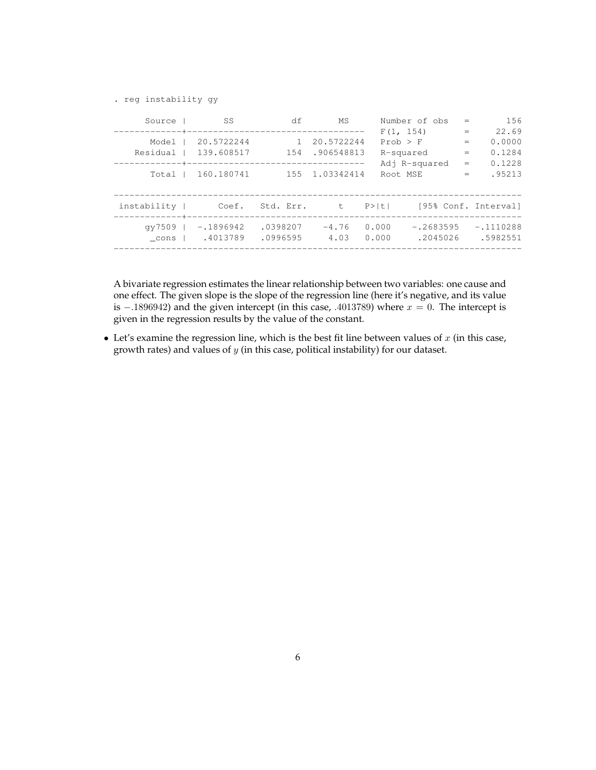. reg instability gy

| Source      | SS <sub>S</sub>                           | df                   | MS              |                | Number of obs           | $=$               | 156                        |
|-------------|-------------------------------------------|----------------------|-----------------|----------------|-------------------------|-------------------|----------------------------|
|             |                                           |                      |                 |                | F(1, 154)               | $=$               | 22.69                      |
| Model I     | 20.5722244                                | $\overline{1}$       | 20.5722244      |                | $Prob$ > $F$            | $=$               | 0.0000                     |
|             | Residual   139.608517                     |                      | 154 .906548813  |                | R-squared               | $\qquad \qquad =$ | 0.1284                     |
|             |                                           |                      |                 |                | Adj R-squared           | $=$               | 0.1228                     |
| Total I     | 160.180741                                |                      | 155 1.03342414  |                | Root MSE                | $=$               | .95213                     |
|             |                                           |                      |                 |                |                         |                   |                            |
| instability | Coef.                                     | Std. Err. t          |                 |                |                         |                   | P> t  [95% Conf. Interval] |
|             | $qV7509$   $-.1896942$<br>cons   .4013789 | .0398207<br>.0996595 | $-4.76$<br>4.03 | 0.000<br>0.000 | $-.2683595$<br>.2045026 |                   | $-.1110288$<br>.5982551    |
|             |                                           |                      |                 |                |                         |                   |                            |

A bivariate regression estimates the linear relationship between two variables: one cause and one effect. The given slope is the slope of the regression line (here it's negative, and its value is −.1896942) and the given intercept (in this case, .4013789) where  $x = 0$ . The intercept is given in the regression results by the value of the constant.

• Let's examine the regression line, which is the best fit line between values of  $x$  (in this case, growth rates) and values of  $y$  (in this case, political instability) for our dataset.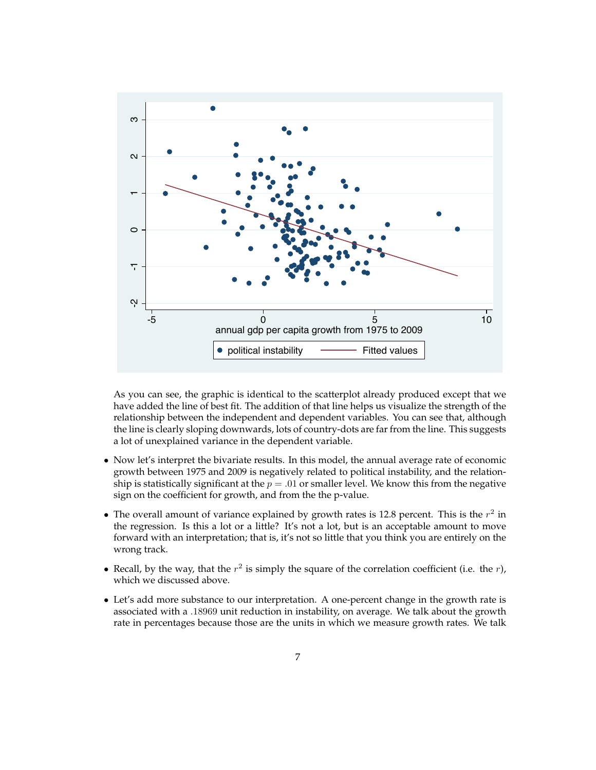

As you can see, the graphic is identical to the scatterplot already produced except that we have added the line of best fit. The addition of that line helps us visualize the strength of the relationship between the independent and dependent variables. You can see that, although the line is clearly sloping downwards, lots of country-dots are far from the line. This suggests a lot of unexplained variance in the dependent variable.

- Now let's interpret the bivariate results. In this model, the annual average rate of economic growth between 1975 and 2009 is negatively related to political instability, and the relationship is statistically significant at the  $p = .01$  or smaller level. We know this from the negative sign on the coefficient for growth, and from the the p-value.
- The overall amount of variance explained by growth rates is 12.8 percent. This is the  $r^2$  in the regression. Is this a lot or a little? It's not a lot, but is an acceptable amount to move forward with an interpretation; that is, it's not so little that you think you are entirely on the wrong track.
- Recall, by the way, that the  $r^2$  is simply the square of the correlation coefficient (i.e. the  $r$ ), which we discussed above.
- Let's add more substance to our interpretation. A one-percent change in the growth rate is associated with a .18969 unit reduction in instability, on average. We talk about the growth rate in percentages because those are the units in which we measure growth rates. We talk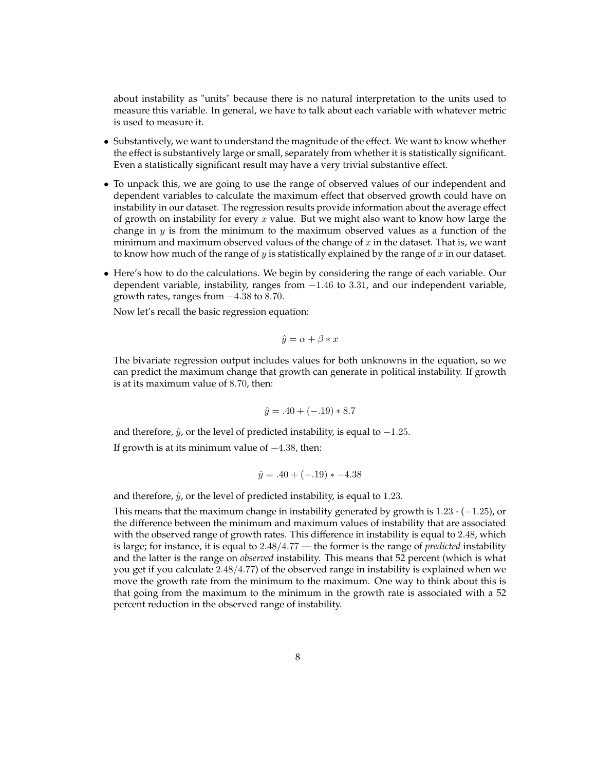about instability as "units" because there is no natural interpretation to the units used to measure this variable. In general, we have to talk about each variable with whatever metric is used to measure it.

- Substantively, we want to understand the magnitude of the effect. We want to know whether the effect is substantively large or small, separately from whether it is statistically significant. Even a statistically significant result may have a very trivial substantive effect.
- To unpack this, we are going to use the range of observed values of our independent and dependent variables to calculate the maximum effect that observed growth could have on instability in our dataset. The regression results provide information about the average effect of growth on instability for every  $x$  value. But we might also want to know how large the change in  $y$  is from the minimum to the maximum observed values as a function of the minimum and maximum observed values of the change of  $x$  in the dataset. That is, we want to know how much of the range of  $y$  is statistically explained by the range of  $x$  in our dataset.
- Here's how to do the calculations. We begin by considering the range of each variable. Our dependent variable, instability, ranges from  $-1.46$  to 3.31, and our independent variable, growth rates, ranges from −4.38 to 8.70.

Now let's recall the basic regression equation:

$$
\hat{y} = \alpha + \beta * x
$$

The bivariate regression output includes values for both unknowns in the equation, so we can predict the maximum change that growth can generate in political instability. If growth is at its maximum value of 8.70, then:

$$
\hat{y} = .40 + (-.19) * 8.7
$$

and therefore,  $\hat{y}$ , or the level of predicted instability, is equal to  $-1.25$ .

If growth is at its minimum value of  $-4.38$ , then:

$$
\hat{y} = .40 + (-.19) * -4.38
$$

and therefore,  $\hat{y}$ , or the level of predicted instability, is equal to 1.23.

This means that the maximum change in instability generated by growth is  $1.23 - (-1.25)$ , or the difference between the minimum and maximum values of instability that are associated with the observed range of growth rates. This difference in instability is equal to 2.48, which is large; for instance, it is equal to 2.48/4.77 — the former is the range of *predicted* instability and the latter is the range on *observed* instability. This means that 52 percent (which is what you get if you calculate 2.48/4.77) of the observed range in instability is explained when we move the growth rate from the minimum to the maximum. One way to think about this is that going from the maximum to the minimum in the growth rate is associated with a 52 percent reduction in the observed range of instability.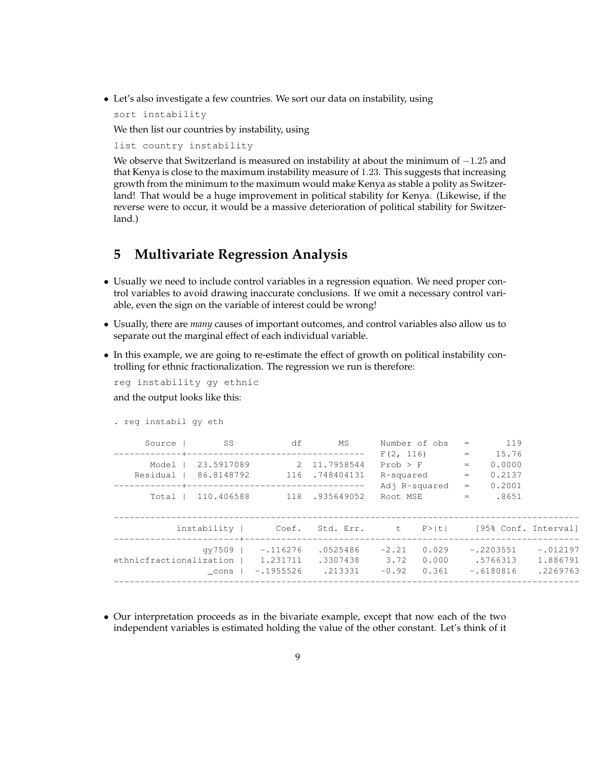• Let's also investigate a few countries. We sort our data on instability, using

sort instability

We then list our countries by instability, using

list country instability

We observe that Switzerland is measured on instability at about the minimum of  $-1.25$  and that Kenya is close to the maximum instability measure of 1.23. This suggests that increasing growth from the minimum to the maximum would make Kenya as stable a polity as Switzerland! That would be a huge improvement in political stability for Kenya. (Likewise, if the reverse were to occur, it would be a massive deterioration of political stability for Switzerland.)

### **5 Multivariate Regression Analysis**

- Usually we need to include control variables in a regression equation. We need proper control variables to avoid drawing inaccurate conclusions. If we omit a necessary control variable, even the sign on the variable of interest could be wrong!
- Usually, there are *many* causes of important outcomes, and control variables also allow us to separate out the marginal effect of each individual variable.
- In this example, we are going to re-estimate the effect of growth on political instability controlling for ethnic fractionalization. The regression we run is therefore:

reg instability gy ethnic

and the output looks like this:

```
. reg instabil gy eth
```

| Source                  | - SS       | df                                                | МS                               | Number of obs              |                                      | $=$        | 119                                    |                                    |
|-------------------------|------------|---------------------------------------------------|----------------------------------|----------------------------|--------------------------------------|------------|----------------------------------------|------------------------------------|
| Model I                 | 23.5917089 |                                                   | 2 11.7958544                     | F(2, 116)                  | <b>Contract Contract</b><br>Prob > F | $\equiv$ . | 15.76<br>0.0000                        |                                    |
| Residual                | 86.8148792 |                                                   | 116.748404131                    |                            | R-squared                            | $=$<br>$=$ | 0.2137<br>0.2001                       |                                    |
| Total I                 | 110.406588 |                                                   | 118.935649052                    | Adj R-squared<br>Root MSE  |                                      | $=$        | .8651                                  |                                    |
|                         |            |                                                   | instability   Coef. Std. Err. t  |                            | P >  t                               |            |                                        | [95% Conf. Interval]               |
| ethnicfractionalization | cons       | qy $7509$   $-.116276$<br>1.231711<br>$-.1955526$ | .0525486<br>.3307438<br>. 213331 | $-2.21$<br>3.72<br>$-0.92$ | 0.029<br>0.000<br>0.361              |            | $-.2203551$<br>.5766313<br>$-.6180816$ | $-.012197$<br>1.886791<br>.2269763 |
|                         |            |                                                   |                                  |                            |                                      |            |                                        |                                    |

• Our interpretation proceeds as in the bivariate example, except that now each of the two independent variables is estimated holding the value of the other constant. Let's think of it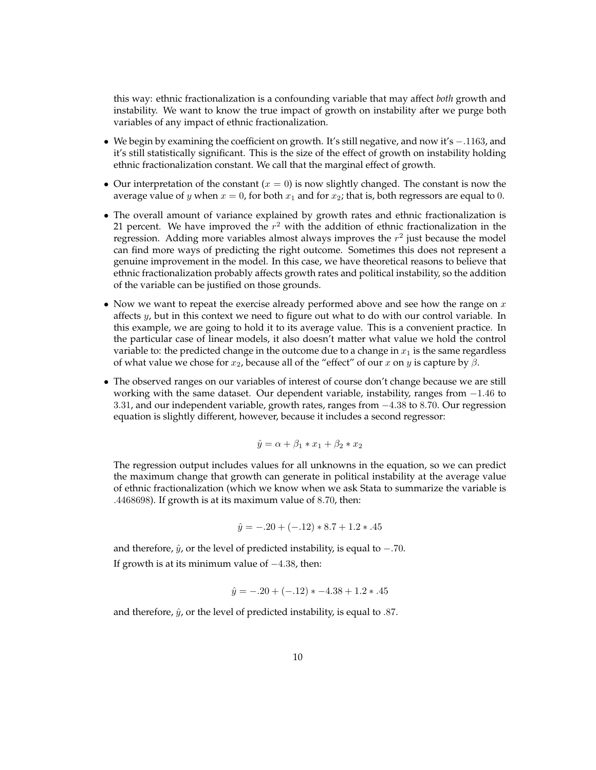this way: ethnic fractionalization is a confounding variable that may affect *both* growth and instability. We want to know the true impact of growth on instability after we purge both variables of any impact of ethnic fractionalization.

- We begin by examining the coefficient on growth. It's still negative, and now it's −.1163, and it's still statistically significant. This is the size of the effect of growth on instability holding ethnic fractionalization constant. We call that the marginal effect of growth.
- Our interpretation of the constant  $(x = 0)$  is now slightly changed. The constant is now the average value of y when  $x = 0$ , for both  $x_1$  and for  $x_2$ ; that is, both regressors are equal to 0.
- The overall amount of variance explained by growth rates and ethnic fractionalization is 21 percent. We have improved the  $r^2$  with the addition of ethnic fractionalization in the regression. Adding more variables almost always improves the  $r^2$  just because the model can find more ways of predicting the right outcome. Sometimes this does not represent a genuine improvement in the model. In this case, we have theoretical reasons to believe that ethnic fractionalization probably affects growth rates and political instability, so the addition of the variable can be justified on those grounds.
- Now we want to repeat the exercise already performed above and see how the range on  $x$ affects y, but in this context we need to figure out what to do with our control variable. In this example, we are going to hold it to its average value. This is a convenient practice. In the particular case of linear models, it also doesn't matter what value we hold the control variable to: the predicted change in the outcome due to a change in  $x_1$  is the same regardless of what value we chose for  $x_2$ , because all of the "effect" of our x on y is capture by  $\beta$ .
- The observed ranges on our variables of interest of course don't change because we are still working with the same dataset. Our dependent variable, instability, ranges from  $-1.46$  to 3.31, and our independent variable, growth rates, ranges from −4.38 to 8.70. Our regression equation is slightly different, however, because it includes a second regressor:

$$
\hat{y} = \alpha + \beta_1 * x_1 + \beta_2 * x_2
$$

The regression output includes values for all unknowns in the equation, so we can predict the maximum change that growth can generate in political instability at the average value of ethnic fractionalization (which we know when we ask Stata to summarize the variable is .4468698). If growth is at its maximum value of 8.70, then:

$$
\hat{y} = -.20 + (-.12) * 8.7 + 1.2 * .45
$$

and therefore,  $\hat{y}$ , or the level of predicted instability, is equal to  $-.70$ . If growth is at its minimum value of  $-4.38$ , then:

$$
\hat{y} = -.20 + (-.12) * -4.38 + 1.2 * .45
$$

and therefore,  $\hat{y}$ , or the level of predicted instability, is equal to .87.